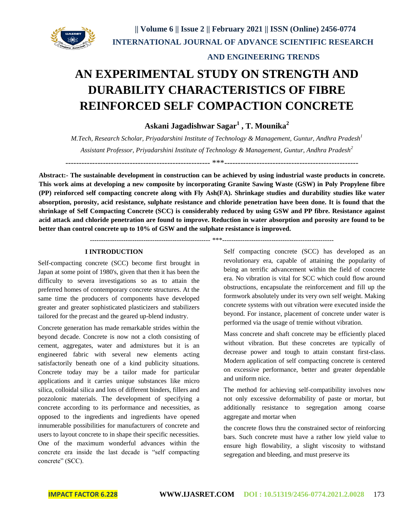

# **AN EXPERIMENTAL STUDY ON STRENGTH AND DURABILITY CHARACTERISTICS OF FIBRE REINFORCED SELF COMPACTION CONCRETE**

## **Askani Jagadishwar Sagar<sup>1</sup> , T. Mounika<sup>2</sup>**

*M.Tech, Research Scholar, Priyadarshini Institute of Technology & Management, Guntur, Andhra Pradesh<sup>1</sup> Assistant Professor, Priyadarshini Institute of Technology & Management, Guntur, Andhra Pradesh<sup>2</sup>*

------------------------------------------------------ \*\*\*--------------------------------------------------

**Abstract:- The sustainable development in construction can be achieved by using industrial waste products in concrete. This work aims at developing a new composite by incorporating Granite Sawing Waste (GSW) in Poly Propylene fibre (PP) reinforced self compacting concrete along with Fly Ash(FA). Shrinkage studies and durability studies like water absorption, porosity, acid resistance, sulphate resistance and chloride penetration have been done. It is found that the shrinkage of Self Compacting Concrete (SCC) is considerably reduced by using GSW and PP fibre. Resistance against acid attack and chloride penetration are found to improve. Reduction in water absorption and porosity are found to be better than control concrete up to 10% of GSW and the sulphate resistance is improved.**

------------------------------------------------------ \*\*\*--------------------------------------------------

#### **I INTRODUCTION**

Self-compacting concrete (SCC) become first brought in Japan at some point of 1980's, given that then it has been the difficulty to severa investigations so as to attain the preferred homes of contemporary concrete structures. At the same time the producers of components have developed greater and greater sophisticated plasticizers and stabilizers tailored for the precast and the geared up-blend industry.

Concrete generation has made remarkable strides within the beyond decade. Concrete is now not a cloth consisting of cement, aggregates, water and admixtures but it is an engineered fabric with several new elements acting satisfactorily beneath one of a kind publicity situations. Concrete today may be a tailor made for particular applications and it carries unique substances like micro silica, colloidal silica and lots of different binders, fillers and pozzolonic materials. The development of specifying a concrete according to its performance and necessities, as opposed to the ingredients and ingredients have opened innumerable possibilities for manufacturers of concrete and users to layout concrete to in shape their specific necessities. One of the maximum wonderful advances within the concrete era inside the last decade is "self compacting concrete" (SCC).

Self compacting concrete (SCC) has developed as an revolutionary era, capable of attaining the popularity of being an terrific advancement within the field of concrete era. No vibration is vital for SCC which could flow around obstructions, encapsulate the reinforcement and fill up the formwork absolutely under its very own self weight. Making concrete systems with out vibration were executed inside the beyond. For instance, placement of concrete under water is performed via the usage of tremie without vibration.

Mass concrete and shaft concrete may be efficiently placed without vibration. But these concretes are typically of decrease power and tough to attain constant first-class. Modern application of self compacting concrete is centered on excessive performance, better and greater dependable and uniform nice.

The method for achieving self-compatibility involves now not only excessive deformability of paste or mortar, but additionally resistance to segregation among coarse aggregate and mortar when

the concrete flows thru the constrained sector of reinforcing bars. Such concrete must have a rather low yield value to ensure high flowability, a slight viscosity to withstand segregation and bleeding, and must preserve its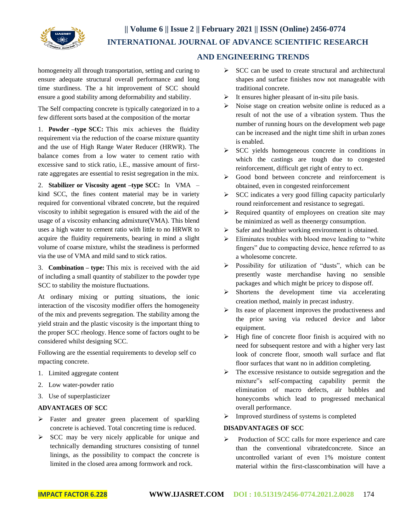

homogeneity all through transportation, setting and curing to ensure adequate structural overall performance and long time sturdiness. The a hit improvement of SCC should ensure a good stability among deformability and stability.

The Self compacting concrete is typically categorized in to a few different sorts based at the composition of the mortar

1. **Powder –type SCC:** This mix achieves the fluidity requirement via the reduction of the coarse mixture quantity and the use of High Range Water Reducer (HRWR). The balance comes from a low water to cement ratio with excessive sand to stick ratio, i.E., massive amount of firstrate aggregates are essential to resist segregation in the mix.

2. **Stabilizer or Viscosity agent –type SCC:** In VMA – kind SCC, the fines content material may be in variety required for conventional vibrated concrete, but the required viscosity to inhibit segregation is ensured with the aid of the usage of a viscosity enhancing admixture(VMA). This blend uses a high water to cement ratio with little to no HRWR to acquire the fluidity requirements, bearing in mind a slight volume of coarse mixture, whilst the steadiness is performed via the use of VMA and mild sand to stick ratios.

3. **Combination – type:** This mix is received with the aid of including a small quantity of stabilizer to the powder type SCC to stability the moisture fluctuations.

At ordinary mixing or putting situations, the ionic interaction of the viscosity modifier offers the homogeneity of the mix and prevents segregation. The stability among the yield strain and the plastic viscosity is the important thing to the proper SCC rheology. Hence some of factors ought to be considered whilst designing SCC.

Following are the essential requirements to develop self co mpacting concrete.

- 1. Limited aggregate content
- 2. Low water-powder ratio
- 3. Use of superplasticizer

### **ADVANTAGES OF SCC**

- > Faster and greater green placement of sparkling concrete is achieved. Total concreting time is reduced.
- $\triangleright$  SCC may be very nicely applicable for unique and technically demanding structures consisting of tunnel linings, as the possibility to compact the concrete is limited in the closed area among formwork and rock.
- $\triangleright$  SCC can be used to create structural and architectural shapes and surface finishes now not manageable with traditional concrete.
- $\triangleright$  It ensures higher pleasant of in-situ pile basis.
- $\triangleright$  Noise stage on creation website online is reduced as a result of not the use of a vibration system. Thus the number of running hours on the development web page can be increased and the night time shift in urban zones is enabled.
- $\triangleright$  SCC yields homogeneous concrete in conditions in which the castings are tough due to congested reinforcement, difficult get right of entry to ect.
- Good bond between concrete and reinforcement is obtained, even in congested reinforcement
- $\triangleright$  SCC indicates a very good filling capacity particularly round reinforcement and resistance to segregati.
- $\triangleright$  Required quantity of employees on creation site may be minimized as well as theenergy consumption.
- $\triangleright$  Safer and healthier working environment is obtained.
- $\triangleright$  Eliminates troubles with blood move leading to "white" fingers" due to compacting device, hence referred to as a wholesome concrete.
- Possibility for utilization of "dusts", which can be presently waste merchandise having no sensible packages and which might be pricey to dispose off.
- $\triangleright$  Shortens the development time via accelerating creation method, mainly in precast industry.
- $\triangleright$  Its ease of placement improves the productiveness and the price saving via reduced device and labor equipment.
- $\triangleright$  High fine of concrete floor finish is acquired with no need for subsequent restore and with a higher very last look of concrete floor, smooth wall surface and flat floor surfaces that want no in addition completing.
- $\triangleright$  The excessive resistance to outside segregation and the mixture"s self-compacting capability permit the elimination of macro defects, air bubbles and honeycombs which lead to progressed mechanical overall performance.
- $\triangleright$  Improved sturdiness of systems is completed

### **DISADVANTAGES OF SCC**

Production of SCC calls for more experience and care than the conventional vibratedconcrete. Since an uncontrolled variant of even 1% moisture content material within the first-classcombination will have a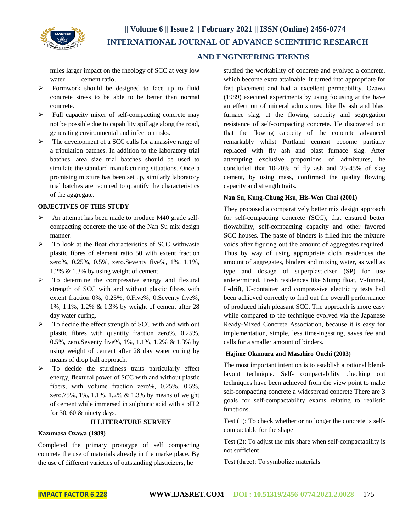

miles larger impact on the rheology of SCC at very low water cement ratio.

- Formwork should be designed to face up to fluid concrete stress to be able to be better than normal concrete.
- $\triangleright$  Full capacity mixer of self-compacting concrete may not be possible due to capability spillage along the road, generating environmental and infection risks.
- $\triangleright$  The development of a SCC calls for a massive range of a tribulation batches. In addition to the laboratory trial batches, area size trial batches should be used to simulate the standard manufacturing situations. Once a promising mixture has been set up, similarly laboratory trial batches are required to quantify the characteristics of the aggregate.

### **OBJECTIVES OF THIS STUDY**

- An attempt has been made to produce M40 grade selfcompacting concrete the use of the Nan Su mix design manner.
- $\triangleright$  To look at the float characteristics of SCC withwaste plastic fibres of element ratio 50 with extent fraction zero%, 0.25%, 0.5%, zero.Seventy five%, 1%, 1.1%, 1.2% & 1.3% by using weight of cement.
- $\triangleright$  To determine the compressive energy and flexural strength of SCC with and without plastic fibres with extent fraction 0%, 0.25%, 0.Five%, 0.Seventy five%, 1%, 1.1%, 1.2% & 1.3% by weight of cement after 28 day water curing.
- $\triangleright$  To decide the effect strength of SCC with and with out plastic fibres with quantity fraction zero%, 0.25%, 0.5%, zero.Seventy five%, 1%, 1.1%, 1.2% & 1.3% by using weight of cement after 28 day water curing by means of drop ball approach.
- $\triangleright$  To decide the sturdiness traits particularly effect energy, flextural power of SCC with and without plastic fibers, with volume fraction zero%, 0.25%, 0.5%, zero.75%, 1%, 1.1%, 1.2% & 1.3% by means of weight of cement while immersed in sulphuric acid with a pH 2 for 30, 60 & ninety days.

#### **II LITERATURE SURVEY**

#### **Kazumasa Ozawa (1989)**

Completed the primary prototype of self compacting concrete the use of materials already in the marketplace. By the use of different varieties of outstanding plasticizers, he

studied the workability of concrete and evolved a concrete, which become extra attainable. It turned into appropriate for fast placement and had a excellent permeability. Ozawa (1989) executed experiments by using focusing at the have an effect on of mineral admixtures, like fly ash and blast furnace slag, at the flowing capacity and segregation resistance of self-compacting concrete. He discovered out that the flowing capacity of the concrete advanced remarkably whilst Portland cement become partially replaced with fly ash and blast furnace slag. After attempting exclusive proportions of admixtures, he concluded that 10-20% of fly ash and 25-45% of slag cement, by using mass, confirmed the quality flowing capacity and strength traits.

#### **Nan Su, Kung-Chung Hsu, His-Wen Chai (2001)**

They proposed a comparatively better mix design approach for self-compacting concrete (SCC), that ensured better flowability, self-compacting capacity and other favored SCC houses. The paste of binders is filled into the mixture voids after figuring out the amount of aggregates required. Thus by way of using appropriate cloth residences the amount of aggregates, binders and mixing water, as well as type and dosage of superplasticizer (SP) for use ardetermined. Fresh residences like Slump float, V-funnel, L-drift, U-container and compressive electricity tests had been achieved correctly to find out the overall performance of produced high pleasant SCC. The approach is more easy while compared to the technique evolved via the Japanese Ready-Mixed Concrete Association, because it is easy for implementation, simple, less time-ingesting, saves fee and calls for a smaller amount of binders.

#### **Hajime Okamura and Masahiro Ouchi (2003)**

The most important intention is to establish a rational blendlayout technique. Self- compactability checking out techniques have been achieved from the view point to make self-compacting concrete a widespread concrete There are 3 goals for self-compactability exams relating to realistic functions.

Test (1): To check whether or no longer the concrete is selfcompactable for the shape

Test (2): To adjust the mix share when self-compactability is not sufficient

Test (three): To symbolize materials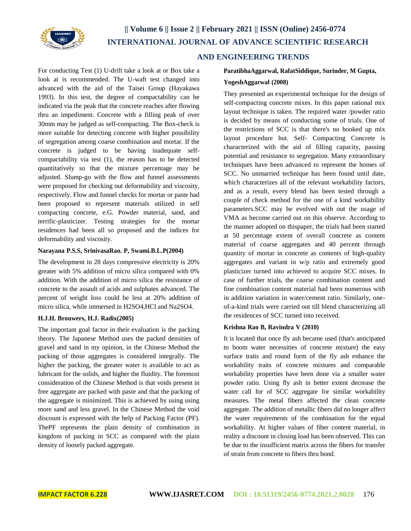

For conducting Test (1) U-drift take a look at or Box take a look at is recommended. The U-waft test changed into advanced with the aid of the Taisei Group (Hayakawa 1993). In this test, the degree of compactability can be indicated via the peak that the concrete reaches after flowing thru an impediment. Concrete with a filling peak of over 30mm may be judged as self-compacting. The Box-check is more suitable for detecting concrete with higher possibility of segregation among coarse combination and mortar. If the concrete is judged to be having inadequate selfcompactability via test (1), the reason has to be detected quantitatively so that the mixture percentage may be adjusted. Slump-go with the flow and funnel assessments were proposed for checking out deformability and viscosity, respectively. Flow and funnel checks for mortar or paste had been proposed to represent materials utilized in self compacting concrete, e.G. Powder material, sand, and terrific-plasticizer. Testing strategies for the mortar residences had been all so proposed and the indices for deformability and viscosity.

#### **Narayana P.S.S, SrinivasaRao. P, Swami.B.L.P(2004)**

The development in 28 days compressive electricity is 20% greater with 5% addition of micro silica compared with 0% addition. With the addition of micro silica the resistance of concrete to the assault of acids and sulphates advanced. The percent of weight loss could be less at 20% addition of micro silica, while immersed in H2SO4,HCl and Na2SO4.

#### **H.J.H. Brouwers, H.J. Radix(2005)**

The important goal factor in their evaluation is the packing theory. The Japanese Method uses the packed densities of gravel and sand in my opinion, in the Chinese Method the packing of those aggregates is considered integrally. The higher the packing, the greater water is available to act as lubricant for the solids, and higher the fluidity. The foremost consideration of the Chinese Method is that voids present in free aggregate are packed with paste and that the packing of the aggregate is minimized. This is achieved by using using more sand and less gravel. In the Chinese Method the void discount is expressed with the help of Packing Factor (PF). ThePF represents the plain density of combination in kingdom of packing in SCC as compared with the plain density of loosely packed aggregate.

## **ParatibhaAggarwal, RafatSiddique, Surinder, M Gupta,**

#### **YogeshAggarwal (2008)**

They presented an experimental technique for the design of self-compacting concrete mixes. In this paper rational mix layout technique is taken. The required water /powder ratio is decided by means of conducting some of trials. One of the restrictions of SCC is that there's no hooked up mix layout procedure but. Self- Compacting Concrete is characterized with the aid of filling capacity, passing potential and resistance to segregation. Many extraordinary techniques have been advanced to represent the homes of SCC. No unmarried technique has been found until date, which characterizes all of the relevant workability factors, and as a result, every blend has been tested through a couple of check method for the one of a kind workability parameters.SCC may be evolved with out the usage of VMA as become carried out on this observe. According to the manner adopted on thispaper, the trials had been started at 50 percentage extent of overall concrete as content material of coarse aggregates and 40 percent through quantity of mortar in concrete as contents of high-quality aggregates and variant in w/p ratio and extremely good plasticizer turned into achieved to acquire SCC mixes. In case of further trials, the coarse combination content and fine combination content material had been numerous with in addition variation in water/cement ratio. Similarly, oneof-a-kind trials were carried out till blend characterizing all the residences of SCC turned into received.

#### **Krishna Rao B, Ravindra V (2010)**

It is located that once fly ash became used (that's anticipated to boom water necessities of concrete mixture) the easy surface traits and round form of the fly ash enhance the workability traits of concrete mixtures and comparable workability properties have been done via a smaller water powder ratio. Using fly ash in better extent decrease the water call for of SCC aggregate for similar workability measures. The metal fibers affected the clean concrete aggregate. The addition of metallic fibers did no longer affect the water requirements of the combination for the equal workability. At higher values of fiber content material, in reality a discount in closing load has been observed. This can be due to the insufficient matrix across the fibers for transfer of strain from concrete to fibers thru bond.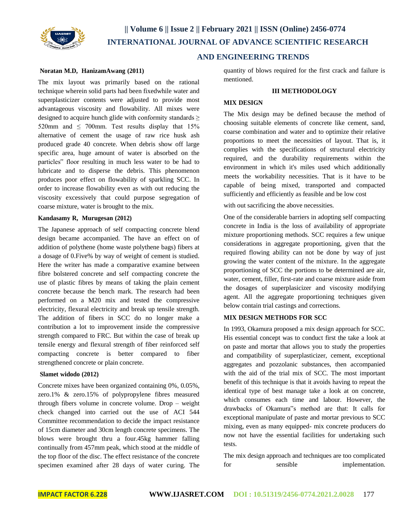

#### **Noratan M.D, HanizamAwang (2011)**

The mix layout was primarily based on the rational technique wherein solid parts had been fixedwhile water and superplasticizer contents were adjusted to provide most advantageous viscosity and flowability. All mixes were designed to acquire hunch glide with conformity standards  $\geq$ 520mm and  $\leq$  700mm. Test results display that 15% alternative of cement the usage of raw rice husk ash produced grade 40 concrete. When debris show off large specific area, huge amount of water is absorbed on the particles" floor resulting in much less water to be had to lubricate and to disperse the debris. This phenomenon produces poor effect on flowability of sparkling SCC. In order to increase flowability even as with out reducing the viscosity excessively that could purpose segregation of coarse mixture, water is brought to the mix.

#### **Kandasamy R, Murugesan (2012)**

The Japanese approach of self compacting concrete blend design became accompanied. The have an effect on of addition of polythene (home waste polythene bags) fibers at a dosage of 0.Five% by way of weight of cement is studied. Here the writer has made a comparative examine between fibre bolstered concrete and self compacting concrete the use of plastic fibres by means of taking the plain cement concrete because the bench mark. The research had been performed on a M20 mix and tested the compressive electricity, flexural electricity and break up tensile strength. The addition of fibers in SCC do no longer make a contribution a lot to improvement inside the compressive strength compared to FRC. But within the case of break up tensile energy and flexural strength of fiber reinforced self compacting concrete is better compared to fiber strengthened concrete or plain concrete.

#### **Slamet widodo (2012)**

Concrete mixes have been organized containing 0%, 0.05%, zero.1% & zero.15% of polypropylene fibres measured through fibers volume in concrete volume. Drop – weight check changed into carried out the use of ACI 544 Committee recommendation to decide the impact resistance of 15cm diameter and 30cm length concrete specimens. The blows were brought thru a four.45kg hammer falling continually from 457mm peak, which stood at the middle of the top floor of the disc. The effect resistance of the concrete specimen examined after 28 days of water curing. The

quantity of blows required for the first crack and failure is mentioned.

#### **III METHODOLOGY**

#### **MIX DESIGN**

The Mix design may be defined because the method of choosing suitable elements of concrete like cement, sand, coarse combination and water and to optimize their relative proportions to meet the necessities of layout. That is, it complies with the specifications of structural electricity required, and the durability requirements within the environment in which it's miles used which additionally meets the workability necessities. That is it have to be capable of being mixed, transported and compacted sufficiently and efficiently as feasible and be low cost

with out sacrificing the above necessities.

One of the considerable barriers in adopting self compacting concrete in India is the loss of availability of appropriate mixture proportioning methods. SCC requires a few unique considerations in aggregate proportioning, given that the required flowing ability can not be done by way of just growing the water content of the mixture. In the aggregate proportioning of SCC the portions to be determined are air, water, cement, filler, first-rate and coarse mixture aside from the dosages of superplasicizer and viscosity modifying agent. All the aggregate proportioning techniques given below contain trial castings and corrections.

### **MIX DESIGN METHODS FOR SCC**

In 1993, Okamura proposed a mix design approach for SCC. His essential concept was to conduct first the take a look at on paste and mortar that allows you to study the properties and compatibility of superplasticizer, cement, exceptional aggregates and pozzolanic substances, then accompanied with the aid of the trial mix of SCC. The most important benefit of this technique is that it avoids having to repeat the identical type of best manage take a look at on concrete, which consumes each time and labour. However, the drawbacks of Okamura"s method are that: It calls for exceptional manipulate of paste and mortar previous to SCC mixing, even as many equipped- mix concrete producers do now not have the essential facilities for undertaking such tests.

The mix design approach and techniques are too complicated for sensible implementation.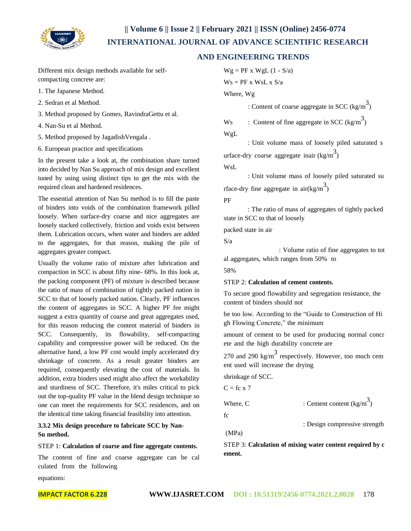

## **AND ENGINEERING TRENDS**

Different mix design methods available for selfcompacting concrete are:

- 1. The Japanese Method.
- 2. Sedran et al Method.
- 3. Method proposed by Gomes, RavindraGettu et al.
- 4. Nan-Su et al Method.
- 5. Method proposed by JagadishVengala .
- 6. European practice and specifications

In the present take a look at, the combination share turned into decided by Nan Su approach of mix design and excellent tuned by using using distinct tips to get the mix with the required clean and hardened residences.

The essential attention of Nan Su method is to fill the paste of binders into voids of the combination framework pilled loosely. When surface-dry coarse and nice aggregates are loosely stacked collectively, friction and voids exist between them. Lubrication occurs, when water and binders are added to the aggregates, for that reason, making the pile of aggregates greater compact.

Usually the volume ratio of mixture after lubrication and compaction in SCC is about fifty nine- 68%. In this look at, the packing component (PF) of mixture is described because the ratio of mass of combination of tightly packed nation in SCC to that of loosely packed nation. Clearly, PF influences the content of aggregates in SCC. A higher PF fee might suggest a extra quantity of coarse and great aggregates used, for this reason reducing the content material of binders in SCC. Consequently, its flowability, self-compacting capability and compressive power will be reduced. On the alternative hand, a low PF cost would imply accelerated dry shrinkage of concrete. As a result greater binders are required, consequently elevating the cost of materials. In addition, extra binders used might also affect the workability and sturdiness of SCC. Therefore, it's miles critical to pick out the top-quality PF value in the blend design technique so one can meet the requirements for SCC residences, and on the identical time taking financial feasibility into attention.

**3.3.2 Mix design procedure to fabricate SCC by Nan-Su method.**

#### STEP 1: **Calculation of coarse and fine aggregate contents.**

The content of fine and coarse aggregate can be cal culated from the following

equations:

 $Wg = PF x WgL (1 - S/a)$ 

 $Ws = PF x WsL x S/a$ 

Where, Wg

: Content of coarse aggregate in SCC  $(\text{kg/m}^3)$ 

```
Ws : Content of fine aggregate in SCC (\text{kg/m}^3)
```
WgL

: Unit volume mass of loosely piled saturated s urface-dry coarse aggregate inair  $\frac{3}{2}$ 

WsL

: Unit volume mass of loosely piled saturated su rface-dry fine aggregate in air $(kg/m^3)$ 

PF

: The ratio of mass of aggregates of tightly packed state in SCC to that of loosely

packed state in air

S/a

: Volume ratio of fine aggregates to tot al aggregates, which ranges from 50% to

58%

#### STEP 2: **Calculation of cement contents.**

To secure good flowability and segregation resistance, the content of binders should not

be too low. According to the "Guide to Construction of Hi gh Flowing Concrete," the minimum

amount of cement to be used for producing normal concr ete and the high durability concrete are

270 and 290 kg/m<sup>3</sup> respectively. However, too much cem ent used will increase the drying

shrinkage of SCC.

$$
C = fc x 7
$$

Where, C : Cement content  $\left(\frac{1}{2}m^3\right)$ 

fc

: Design compressive strength

(MPa)

STEP 3: **Calculation of mixing water content required by c ement.**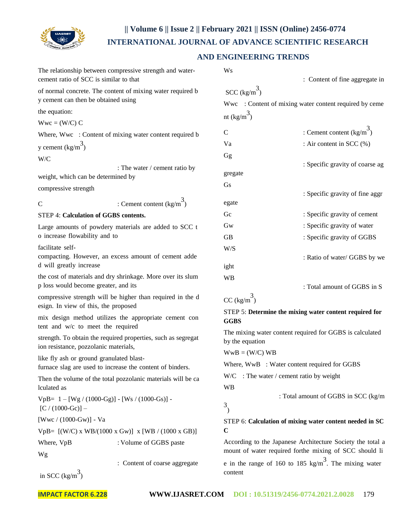

## **AND ENGINEERING TRENDS**

|                                        | The relationship between compressive strength and water-<br>cement ratio of SCC is similar to that    | <b>W<sub>s</sub></b><br>: Content of fine aggregate in                      |                                                |  |  |  |
|----------------------------------------|-------------------------------------------------------------------------------------------------------|-----------------------------------------------------------------------------|------------------------------------------------|--|--|--|
|                                        | of normal concrete. The content of mixing water required b                                            | SCC $\left(\frac{kg}{m^3}\right)$                                           |                                                |  |  |  |
| y cement can then be obtained using    |                                                                                                       | Wwc : Content of mixing water content required by ceme                      |                                                |  |  |  |
| the equation:                          |                                                                                                       | nt $\left(\frac{kg}{m}^3\right)$                                            |                                                |  |  |  |
| $Wwc = (W/C) C$                        |                                                                                                       |                                                                             |                                                |  |  |  |
|                                        | Where, Wwc : Content of mixing water content required b                                               | C                                                                           | : Cement content $\left(\frac{kg}{m}^3\right)$ |  |  |  |
| y cement $\left(\frac{kg}{m^3}\right)$ |                                                                                                       | Va                                                                          | : Air content in SCC (%)                       |  |  |  |
| W/C                                    |                                                                                                       | Gg                                                                          |                                                |  |  |  |
|                                        | : The water / cement ratio by                                                                         | gregate                                                                     | : Specific gravity of coarse ag                |  |  |  |
| weight, which can be determined by     |                                                                                                       | Gs                                                                          |                                                |  |  |  |
| compressive strength                   |                                                                                                       |                                                                             | : Specific gravity of fine aggr                |  |  |  |
| $\overline{C}$                         | : Cement content $\left(\frac{kg}{m}\right)^3$                                                        | egate                                                                       |                                                |  |  |  |
|                                        | STEP 4: Calculation of GGBS contents.                                                                 | Gc                                                                          | : Specific gravity of cement                   |  |  |  |
|                                        | Large amounts of powdery materials are added to SCC t                                                 | Gw                                                                          | : Specific gravity of water                    |  |  |  |
| o increase flowability and to          |                                                                                                       | <b>GB</b>                                                                   | : Specific gravity of GGBS                     |  |  |  |
| facilitate self-                       |                                                                                                       | W/S                                                                         |                                                |  |  |  |
|                                        | compacting. However, an excess amount of cement adde                                                  |                                                                             | : Ratio of water/ GGBS by we                   |  |  |  |
| d will greatly increase                |                                                                                                       | ight                                                                        |                                                |  |  |  |
|                                        | the cost of materials and dry shrinkage. More over its slum                                           | <b>WB</b>                                                                   |                                                |  |  |  |
|                                        | p loss would become greater, and its                                                                  |                                                                             | : Total amount of GGBS in S                    |  |  |  |
|                                        | compressive strength will be higher than required in the d<br>esign. In view of this, the proposed    | CC $\left(\frac{kg}{m}\right)^3$                                            |                                                |  |  |  |
|                                        | mix design method utilizes the appropriate cement con                                                 | STEP 5: Determine the mixing water content required for                     |                                                |  |  |  |
|                                        | tent and w/c to meet the required                                                                     | <b>GGBS</b>                                                                 |                                                |  |  |  |
|                                        | strength. To obtain the required properties, such as segregat                                         | The mixing water content required for GGBS is calculated<br>by the equation |                                                |  |  |  |
| ion resistance, pozzolanic materials,  |                                                                                                       | $WwB = (W/C) WB$                                                            |                                                |  |  |  |
|                                        | like fly ash or ground granulated blast-<br>furnace slag are used to increase the content of binders. | Where, WwB : Water content required for GGBS                                |                                                |  |  |  |
|                                        |                                                                                                       | $W/C$ : The water / cement ratio by weight                                  |                                                |  |  |  |
| lculated as                            | Then the volume of the total pozzolanic materials will be ca                                          | <b>WB</b>                                                                   |                                                |  |  |  |
|                                        | $VpB = 1 - [Wg / (1000-Gg)] - [Ws / (1000-Gs)] -$                                                     | : Total amount of GGBS in SCC (kg/m                                         |                                                |  |  |  |
| $[C / (1000-Gc)] -$                    |                                                                                                       | 3                                                                           |                                                |  |  |  |
|                                        |                                                                                                       |                                                                             |                                                |  |  |  |

STEP 6: **Calculation of mixing water content needed in SC C**

According to the Japanese Architecture Society the total a mount of water required forthe mixing of SCC should li e in the range of 160 to 185 kg/m<sup>3</sup>. The mixing water content

in SCC  $\left(\frac{kg}{m^3}\right)$ 

Wg

[Wwc / (1000-Gw)] - Va

VpB= [(W/C) x WB/(1000 x Gw)] x [WB / (1000 x GB)] Where,  $VpB$  : Volume of GGBS paste

: Content of coarse aggregate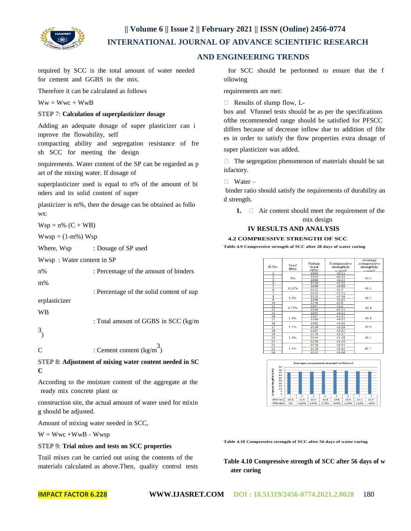

## **AND ENGINEERING TRENDS**

required by SCC is the total amount of water needed for cement and GGBS in the mix.

Therefore it can be calculated as follows

 $Ww = Wwc + WwB$ 

#### STEP 7: **Calculation of superplasticizer dosage**

Adding an adequate dosage of super plasticizer can i mprove the flowability, self

compacting ability and segregation resistance of fre sh SCC for meeting the design

requirements. Water content of the SP can be regarded as p art of the mixing water. If dosage of

superplasticizer used is equal to n% of the amount of bi nders and its solid content of super

plasticizer is m%, then the dosage can be obtained as follo ws:

 $Wsp = n\% (C + WB)$ 

 $Wwsp = (1-m\%) Wsp$ 

Where, Wsp : Dosage of SP used

Wwsp : Water content in SP

| $n\%$ | : Percentage of the amount of binders    |
|-------|------------------------------------------|
| $m\%$ |                                          |
|       | : Percentage of the solid content of sup |

erplasticizer

WB

3 )

C : Cement content  $\text{(kg/m)}^3$ 

STEP 8: **Adjustment of mixing water content needed in SC C**

: Total amount of GGBS in SCC (kg/m

According to the moisture content of the aggregate at the ready mix concrete plant or

construction site, the actual amount of water used for mixin g should be adjusted.

Amount of mixing water needed in SCC,

 $W = Wwc + WwB - Wwsp$ 

#### STEP 9: **Trial mixes and tests on SCC properties**

Trail mixes can be carried out using the contents of the materials calculated as above.Then, quality control tests

for SCC should be performed to ensure that the f ollowing

requirements are met:

Results of slump flow, L-

box and Vfunnel tests should be as per the specifications ofthe recommended range should be satisfied for PFSCC differs because of decrease inflow due to addition of fibr es in order to satisfy the flow properties extra dosage of

super plasticizer was added.

 $\Box$  The segregation phenomenon of materials should be sat isfactory.

#### $\Box$  Water –

binder ratio should satisfy the requirements of durability an d strength.

**1.**  $\Box$  Air content should meet the requirement of the mix design

## **IV RESULTS AND ANALYSIS**

#### **4.2 COMPRESSIVE STRENGTH OF SCC**

**Table 4.9 Compressive strength of SCC after 28 days of water curing**

|                         |        |                |                 | Average         |  |
|-------------------------|--------|----------------|-----------------|-----------------|--|
|                         | $%$ of | <b>Failure</b> | Compressive     | compressive     |  |
| Sl.No.                  | fibre  | load           | strength in     | strength in     |  |
|                         |        | <b>CKN)</b>    | mm <sup>2</sup> | mm <sup>2</sup> |  |
| ٦                       |        | 1060           | 40.11           |                 |  |
| $\overline{\mathbf{2}}$ | 0%     | 1102           | 40.24           | 40.2            |  |
| 3                       |        |                | 1089<br>40.21   |                 |  |
| 4                       |        | 1128           | 41.52           |                 |  |
| 3                       | 0.25%  | 1098           | 40.98           | 41.3            |  |
| $\overline{6}$          |        | 1132           | 41.5            |                 |  |
| 7                       |        | 1142           | 41.72           |                 |  |
| $\overline{\mathbf{s}}$ | 0.5%   | 1123           | 41.56           | 41.5            |  |
| ०                       |        | 1108           | 41.35           |                 |  |
| 10                      |        | 1156           | 42.6            |                 |  |
| 11                      | 0.75%  | 1187           | 43.0            | 42.6            |  |
| 12                      |        | 1148           | 42.25           |                 |  |
| 13                      |        | 1205           | 44.21           |                 |  |
| 14                      |        | 1187           | 43.32           |                 |  |
| 15                      | 1.0%   | 1198           | 44.01           | 43.8            |  |
| 16                      |        | 1182           | 43.30           |                 |  |
| 17                      | 1.1%   | 1156           | 42.29           | 42.9            |  |
| 18                      |        | 1185           | 43.33           |                 |  |
| 19                      |        | 1176           | 43.27           |                 |  |
| 20                      | 1.2%   | 1144           | 41.58           | 42.1            |  |
| 21                      |        | 1139           | 41.54           |                 |  |
| 22                      |        | 1159           | 42.31           |                 |  |
| 23                      | 1.3%   | 1119           | 41.44           | 41.7            |  |
| $\overline{A}$          |        | 1121           | 41.46           |                 |  |



**Table 4.10 Compressive strength of SCC after 56 days of water curing**

**Table 4.10 Compressive strength of SCC after 56 days of w ater curing**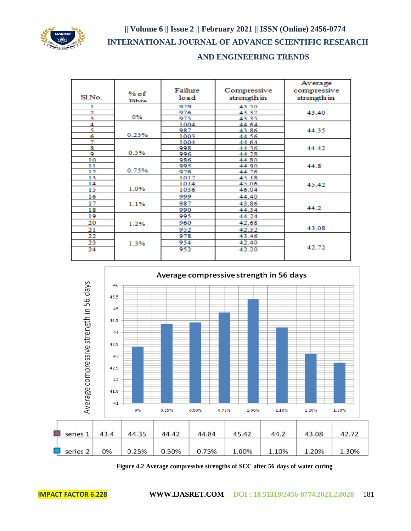

## **AND ENGINEERING TRENDS**

| Sl.No. | $%$ of<br>Fihre | Failure<br>load | Compressive<br>strength in | Average<br>compressive<br>strength in |
|--------|-----------------|-----------------|----------------------------|---------------------------------------|
|        |                 | 979             | 43.50                      |                                       |
| Ž.     |                 | 976             | 43.37                      | 43.40                                 |
| ą      | 0%              | 975             | 43.35                      |                                       |
| 4      |                 | 1004            | 44 64                      |                                       |
| ς      |                 | 987             | 43.86                      | 44.35                                 |
| 6      | 0.25%           | 1003            | 44.56                      |                                       |
| 7      |                 | 1004            | 44 64                      |                                       |
| я      |                 | 998             | 44 36                      | 44.42                                 |
| 9      | 0.5%            | 996             | 44 28                      |                                       |
| 10     |                 | 986             | 44.80                      |                                       |
| 11     |                 | 995             | 44 90                      | 44.8                                  |
| 12     | 0.75%           | 976             | 44.76                      |                                       |
| 13     |                 | 1017            | 4518                       |                                       |
| 14     |                 | 1014            | 45.06                      | 45.42                                 |
| 15     | 1.0%            | 1036            | 46.04                      |                                       |
| 16     |                 | 999             | 44.40                      |                                       |
| 17     | 1.1%            | 987             | 43.86                      |                                       |
| 18     |                 | 990             | 44.34                      | 44.2                                  |
| 19     |                 | 995             | 44.24                      |                                       |
| 20     | 1.2%            | 960             | 42.68                      |                                       |
| 21     |                 | 952             | 42.32                      | 43.08                                 |
| 22     |                 | 978             | 43.46                      |                                       |
| 23     | 1.3%            | 954             | 42.40                      |                                       |
| 24     |                 | 952             | 42.20                      | 42.72                                 |



**Figure 4.2 Average compressive strengths of SCC after 56 days of water curing**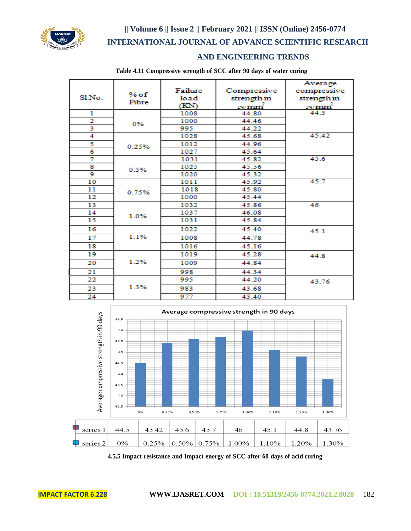

## **AND ENGINEERING TRENDS**

|                |        |         |                   | Average               |
|----------------|--------|---------|-------------------|-----------------------|
|                | $%$ of | Failure | Compressive       | compressive           |
| Sl.No.         | Fibre  | load    | strength in       | strength in           |
|                |        | (KN)    | N/mm <sup>2</sup> | $\frac{N/mm^2}{44.5}$ |
| ı              |        | 1008    | 44.80             |                       |
| $\overline{2}$ | 0%     | 1000    | 44.46             |                       |
| 3              |        | 995     | 44.22             |                       |
| 4              |        | 1028    | 45.68             | 45.42                 |
| 5              | 0.25%  | 1012    | 44.96             |                       |
| 6              |        | 1027    | 45.64             |                       |
| 7              |        | 1031    | 45.82             | 45.6                  |
| 8              | 0.5%   | 1025    | 45.56             |                       |
| 9              |        | 1020    | 45.32             |                       |
| 10             |        | 1011    | 45.92             | 45.7                  |
| 11             | 0.75%  | 1018    | 45.80             |                       |
| 12             |        | 1000    | 45.44             |                       |
| 13             |        | 1032    | 45.86             | 46                    |
| 14             | 1.0%   | 1037    | 46.08             |                       |
| 15             |        | 1031    | 45.84             |                       |
| 16             |        | 1022    | 45.40             | 45.1                  |
| 17             | 1.1%   | 1008    | 44.78             |                       |
| 18             |        | 1016    | 45.16             |                       |
| 19             |        | 1019    | 45.28             | 44.8                  |
| 20             | 1.2%   | 1009    | 44.84             |                       |
| 21             |        | 998     | 44.34             |                       |
| 22             |        | 995     | 44.20             | 43.76                 |
| 23             | 1.3%   | 983     | 43.68             |                       |
| 24             |        | 977     | 43.40             |                       |

**Table 4.11 Compressive strength of SCC after 90 days of water curing**



**4.5.5 Impact resistance and Impact energy of SCC after 60 days of acid curing**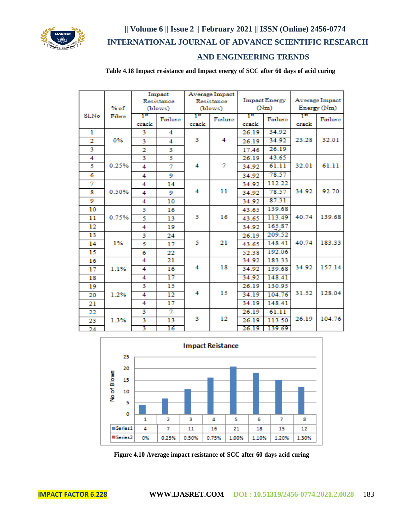

## **AND ENGINEERING TRENDS**

**Table 4.18 Impact resistance and Impact energy of SCC after 60 days of acid curing**

|                | % of  |                         | Impact<br>Resistance<br>(blows) |             | Average Impact<br>Resistance<br>(blows) |                                    | <b>Impact Energy</b><br>(Nm) |             | Average Impact<br>Energy (Nm) |  |
|----------------|-------|-------------------------|---------------------------------|-------------|-----------------------------------------|------------------------------------|------------------------------|-------------|-------------------------------|--|
| Sl.No          | Fibre | $\mathbb{R}^n$<br>crack | Failure                         | Тĸ<br>crack | Failure                                 | $\mathbf{I}^{\mathbf{a}}$<br>crack | Failure                      | Тĸ<br>crack | Failure                       |  |
| ı              |       | 3                       | 4                               |             |                                         | 26.19                              | 34.92                        |             |                               |  |
| $\overline{2}$ | 0%    | 3                       | 4                               | з           | 4                                       | 26.19                              | 34.92                        | 23.28       | 32.01                         |  |
| 3              |       | $\overline{2}$          | 3                               |             |                                         | 17.46                              | 26.19                        |             |                               |  |
| 4              |       | 3                       | 5                               |             |                                         | 26.19                              | 43.65                        |             |                               |  |
| 5              | 0.25% | 4                       | 7                               | 4           | 7                                       | 34.92                              | 61.11                        | 32.01       | 61.11                         |  |
| 6              |       | 4                       | 9                               |             |                                         | 34.92                              | 78.57                        |             |                               |  |
| 7              |       | 4                       | 14                              |             |                                         | 34.92                              | 112.22                       |             |                               |  |
| 8              | 0.50% | 4                       | 9                               | 4           | 11                                      | 34.92                              | 78.57                        | 34.92       | 92.70                         |  |
| 9              |       | 4                       | 10                              |             |                                         | 34.92                              | 87.31                        |             |                               |  |
| 10             |       | 5                       | 16                              |             |                                         | 43.65                              | 139.68                       |             |                               |  |
| 11             | 0.75% | 5                       | 13                              | 5           | 16                                      | 43.65                              | 113.49                       | 40.74       | 139.68                        |  |
| 12             |       | 4                       | 19                              |             |                                         | 34.92                              | 165.87                       |             |                               |  |
| 13             |       | з                       | 24                              |             |                                         | 26.19                              | 209.52                       |             |                               |  |
| 14             | 1%    | 5                       | 17                              | 5           | 21                                      | 43.65                              | 148.41                       | 40.74       | 183.33                        |  |
| 15             |       | 6                       | 22                              |             |                                         | 52.38                              | 192.06                       |             |                               |  |
| 16             |       | 4                       | 21                              |             |                                         | 34.92                              | 183.33                       |             |                               |  |
| 17             | 1.1%  | 4                       | 16                              | 4           | 18                                      | 34.92                              | 139.68                       | 34.92       | 157.14                        |  |
| 18             |       | 4                       | 17                              |             |                                         | 34.92                              | 148.41                       |             |                               |  |
| 19             |       | 3                       | 15                              |             |                                         | 26.19                              | 130.95                       |             |                               |  |
| 20             | 1.2%  | 4                       | 12                              | 4           | 15                                      | 34.19                              | 104.76                       | 31.52       | 128.04                        |  |
| 21             |       | 4                       | 17                              |             |                                         | 34.19                              | 148.41                       |             |                               |  |
| 22             |       | 3                       | $\overline{\tau}$               |             |                                         | 26.19                              | 61.11                        |             |                               |  |
| 23             | 1.3%  | 3                       | 13                              | з           | 12                                      | 26.19                              | 113.50                       | 26.19       | 104.76                        |  |
| 24             |       | 3                       | 16                              |             |                                         | 26.19                              | 139.69                       |             |                               |  |



**Figure 4.10 Average impact resistance of SCC after 60 days acid curing**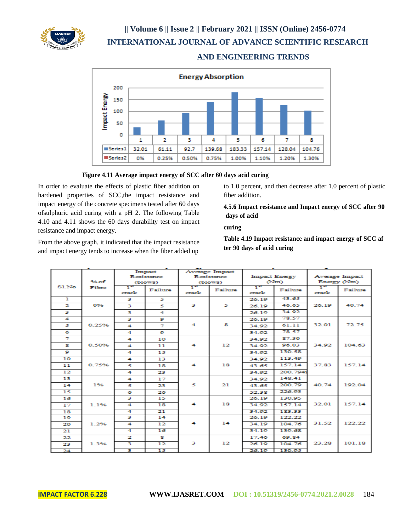

## **AND ENGINEERING TRENDS**



#### **Figure 4.11 Average impact energy of SCC after 60 days acid curing**

In order to evaluate the effects of plastic fiber addition on hardened properties of SCC,the impact resistance and impact energy of the concrete specimens tested after 60 days ofsulphuric acid curing with a pH 2. The following Table 4.10 and 4.11 shows the 60 days durability test on impact resistance and impact energy.

From the above graph, it indicated that the impact resistance and impact energy tends to increase when the fiber added up

to 1.0 percent, and then decrease after 1.0 percent of plastic fiber addition.

**4.5.6 Impact resistance and Impact energy of SCC after 90 days of acid**

**curing**

**Table 4.19 Impact resistance and impact energy of SCC af ter 90 days of acid curing**

|                      |         |          | Impact                   | Average Impact |         |                      |          |                       |         |
|----------------------|---------|----------|--------------------------|----------------|---------|----------------------|----------|-----------------------|---------|
|                      |         |          | <b>Resistance</b>        | Resistance     |         | <b>Impact Energy</b> |          | <b>Average Impact</b> |         |
|                      | $96$ of | (blows)  |                          | (blows)        |         | (Nm)                 |          | Energy (Nm)           |         |
| SLNo                 | Fibre   | $1^{25}$ | Failure                  | $1^{25}$       | Failure | $1^{25}$             | Failure  | $1^{25}$              | Failure |
|                      |         | crack    |                          | crack          |         | crack                |          | crack                 |         |
| п                    |         | з        | s                        |                |         | 26.19                | 43.65    |                       |         |
| 2                    | 0%      | з        | 5                        | з              | 5.      | 26.19                | 46.65    | 26.19                 | 40.74   |
| з                    |         | з        | 4                        |                |         | 26.19                | 34.92    |                       |         |
| $\blacktriangleleft$ |         | з        | ۰                        |                |         | 26.19                | 78.57    |                       |         |
| 5                    | 0.25%   | 4        | $\overline{\mathcal{F}}$ | 4              | s       | 34.92                | 61.11    | 32.01                 | 72.75   |
| 6                    |         | 4        | ۰                        |                |         | 34.92                | 78.57    |                       |         |
| $\overline{\tau}$    |         | 4        | 10                       |                |         | 34.92                | 87.30    |                       |         |
| я                    | 0.50%   | 4        | 11                       | 4              | 12      | 34.92                | 96.03    | 34.92                 | 104.63  |
| ۰                    |         | 4        | 15                       |                |         | 34.92                | 130.58   |                       |         |
| 10                   |         | 4        | 13                       |                |         | 34.92                | 113.49   |                       |         |
| 11                   | 0.75%   | 5        | 18                       | 4              | 18      | 43.65                | 157.14   | 37.83                 | 157.14  |
| 12                   |         | 4        | 23                       |                |         | 34.92                | 200.7949 |                       |         |
| 13                   |         | 4        | 17                       |                |         | 34.92                | 148.41   |                       |         |
| 14                   | 1%      | ×.       | 23                       | 5              | 21      | 43.65                | 200.79   | 40.74                 | 192.04  |
| 15                   |         | 6        | 26                       |                |         | 52.38                | 226.93   |                       |         |
| 16                   |         | в        | 15                       |                |         | 26.19                | 130.95   |                       |         |
| 17                   | 1.1%    | 4        | 18                       | 4              | 18      | 34.92                | 157.14   | 32.01                 | 157.14  |
| 18                   |         | 4        | 21                       |                |         | 34.92                | 183.33   |                       |         |
| 19                   |         | з        | 14                       |                |         | 26.19                | 122.22   |                       |         |
| 20                   | 1.2%    | 4        | 12                       | 4              | 14      | 34.19                | 104.76   | 31.52                 | 122.22  |
| 21                   |         | 4        | 16                       |                |         | 34.19                | 139.68   |                       |         |
| 22                   |         | 2        | s.                       |                |         | 17.46                | 69.84    |                       |         |
| 23                   | 1.3%    | з        | 12                       | в              | 12      | 26.19                | 104.76   | 23.28                 | 101.18  |
| 24                   |         | з        | 15                       |                |         | 26.19                | 130.95   |                       |         |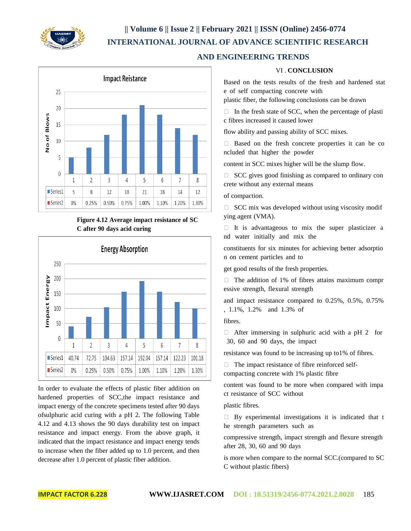

 **AND ENGINEERING TRENDS**



## **Figure 4.12 Average impact resistance of SC C after 90 days acid curing**



In order to evaluate the effects of plastic fiber addition on hardened properties of SCC,the impact resistance and impact energy of the concrete specimens tested after 90 days ofsulphuric acid curing with a pH 2. The following Table 4.12 and 4.13 shows the 90 days durability test on impact resistance and impact energy. From the above graph, it indicated that the impact resistance and impact energy tends to increase when the fiber added up to 1.0 percent, and then decrease after 1.0 percent of plastic fiber addition.

### VI . **CONCLUSION**

Based on the tests results of the fresh and hardened stat e of self compacting concrete with

plastic fiber, the following conclusions can be drawn

 $\Box$  In the fresh state of SCC, when the percentage of plasti c fibres increased it caused lower

flow ability and passing ability of SCC mixes.

 Based on the fresh concrete properties it can be co ncluded that higher the powder

content in SCC mixes higher will be the slump flow.

 $\Box$  SCC gives good finishing as compared to ordinary con crete without any external means

#### of compaction.

 $\Box$  SCC mix was developed without using viscosity modif ying agent (VMA).

 $\Box$  It is advantageous to mix the super plasticizer a nd water initially and mix the

constituents for six minutes for achieving better adsorptio n on cement particles and to

get good results of the fresh properties.

 $\Box$  The addition of 1% of fibres attains maximum compr essive strength, flexural strength

and impact resistance compared to 0.25%, 0.5%, 0.75% , 1.1%, 1.2% and 1.3% of

fibres.

 $\Box$  After immersing in sulphuric acid with a pH 2 for 30, 60 and 90 days, the impact

resistance was found to be increasing up to1% of fibres.

 $\Box$  The impact resistance of fibre reinforced self-

compacting concrete with 1% plastic fibre

content was found to be more when compared with impa ct resistance of SCC without

plastic fibres.

 $\Box$  By experimental investigations it is indicated that t he strength parameters such as

compressive strength, impact strength and flexure strength after 28, 30, 60 and 90 days

is more when compare to the normal SCC.(compared to SC C without plastic fibers)